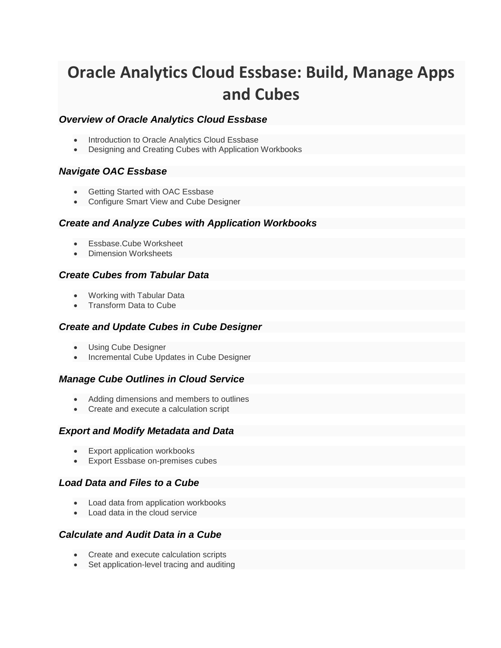# **Oracle Analytics Cloud Essbase: Build, Manage Apps and Cubes**

# *Overview of Oracle Analytics Cloud Essbase*

- Introduction to Oracle Analytics Cloud Essbase
- Designing and Creating Cubes with Application Workbooks

## *Navigate OAC Essbase*

- Getting Started with OAC Essbase
- Configure Smart View and Cube Designer

#### *Create and Analyze Cubes with Application Workbooks*

- Essbase.Cube Worksheet
- Dimension Worksheets

#### *Create Cubes from Tabular Data*

- Working with Tabular Data
- Transform Data to Cube

#### *Create and Update Cubes in Cube Designer*

- Using Cube Designer
- Incremental Cube Updates in Cube Designer

#### *Manage Cube Outlines in Cloud Service*

- Adding dimensions and members to outlines
- Create and execute a calculation script

## *Export and Modify Metadata and Data*

- Export application workbooks
- Export Essbase on-premises cubes

## *Load Data and Files to a Cube*

- Load data from application workbooks
- Load data in the cloud service

## *Calculate and Audit Data in a Cube*

- Create and execute calculation scripts
- Set application-level tracing and auditing